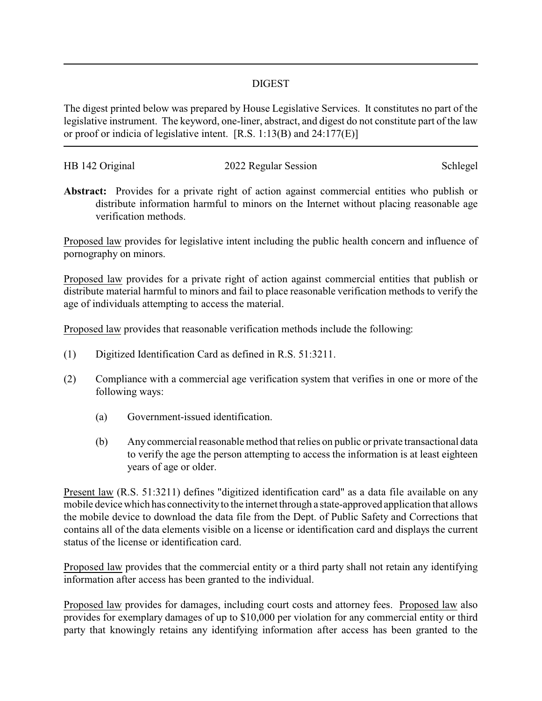## DIGEST

The digest printed below was prepared by House Legislative Services. It constitutes no part of the legislative instrument. The keyword, one-liner, abstract, and digest do not constitute part of the law or proof or indicia of legislative intent. [R.S. 1:13(B) and 24:177(E)]

| HB 142 Original | 2022 Regular Session | Schlegel |
|-----------------|----------------------|----------|
|                 |                      |          |

**Abstract:** Provides for a private right of action against commercial entities who publish or distribute information harmful to minors on the Internet without placing reasonable age verification methods.

Proposed law provides for legislative intent including the public health concern and influence of pornography on minors.

Proposed law provides for a private right of action against commercial entities that publish or distribute material harmful to minors and fail to place reasonable verification methods to verify the age of individuals attempting to access the material.

Proposed law provides that reasonable verification methods include the following:

- (1) Digitized Identification Card as defined in R.S. 51:3211.
- (2) Compliance with a commercial age verification system that verifies in one or more of the following ways:
	- (a) Government-issued identification.
	- (b) Any commercial reasonable method that relies on public or private transactional data to verify the age the person attempting to access the information is at least eighteen years of age or older.

Present law (R.S. 51:3211) defines "digitized identification card" as a data file available on any mobile device which has connectivityto the internet through a state-approved application that allows the mobile device to download the data file from the Dept. of Public Safety and Corrections that contains all of the data elements visible on a license or identification card and displays the current status of the license or identification card.

Proposed law provides that the commercial entity or a third party shall not retain any identifying information after access has been granted to the individual.

Proposed law provides for damages, including court costs and attorney fees. Proposed law also provides for exemplary damages of up to \$10,000 per violation for any commercial entity or third party that knowingly retains any identifying information after access has been granted to the